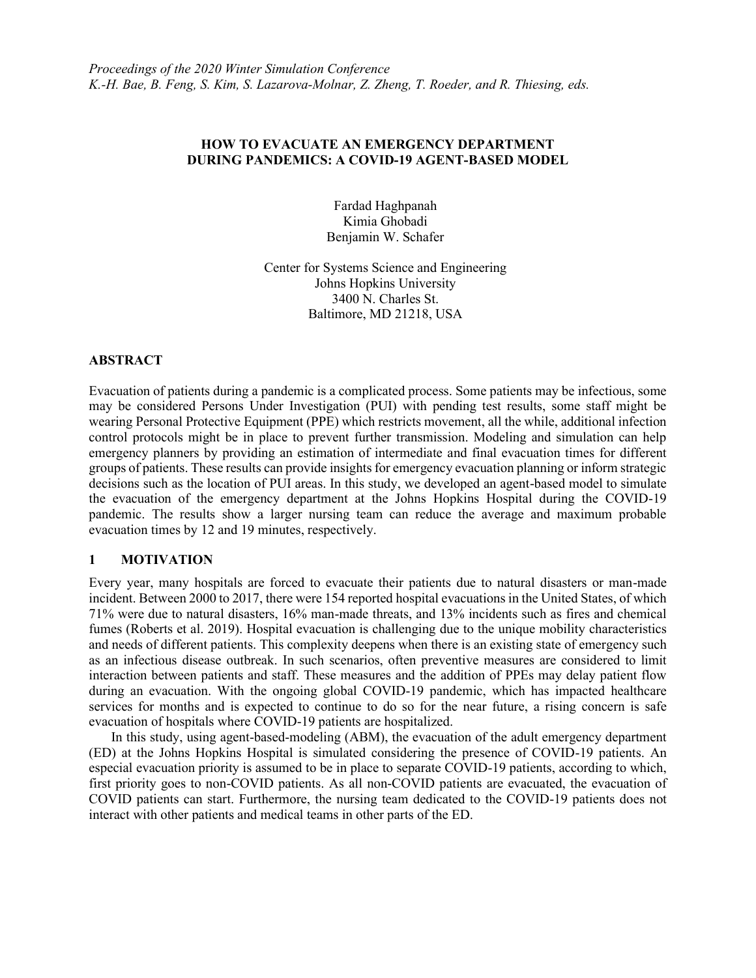# **HOW TO EVACUATE AN EMERGENCY DEPARTMENT DURING PANDEMICS: A COVID-19 AGENT-BASED MODEL**

Fardad Haghpanah Kimia Ghobadi Benjamin W. Schafer

Center for Systems Science and Engineering Johns Hopkins University 3400 N. Charles St. Baltimore, MD 21218, USA

# **ABSTRACT**

Evacuation of patients during a pandemic is a complicated process. Some patients may be infectious, some may be considered Persons Under Investigation (PUI) with pending test results, some staff might be wearing Personal Protective Equipment (PPE) which restricts movement, all the while, additional infection control protocols might be in place to prevent further transmission. Modeling and simulation can help emergency planners by providing an estimation of intermediate and final evacuation times for different groups of patients. These results can provide insights for emergency evacuation planning or inform strategic decisions such as the location of PUI areas. In this study, we developed an agent-based model to simulate the evacuation of the emergency department at the Johns Hopkins Hospital during the COVID-19 pandemic. The results show a larger nursing team can reduce the average and maximum probable evacuation times by 12 and 19 minutes, respectively.

# **1 MOTIVATION**

Every year, many hospitals are forced to evacuate their patients due to natural disasters or man-made incident. Between 2000 to 2017, there were 154 reported hospital evacuations in the United States, of which 71% were due to natural disasters, 16% man-made threats, and 13% incidents such as fires and chemical fumes (Roberts et al. 2019). Hospital evacuation is challenging due to the unique mobility characteristics and needs of different patients. This complexity deepens when there is an existing state of emergency such as an infectious disease outbreak. In such scenarios, often preventive measures are considered to limit interaction between patients and staff. These measures and the addition of PPEs may delay patient flow during an evacuation. With the ongoing global COVID-19 pandemic, which has impacted healthcare services for months and is expected to continue to do so for the near future, a rising concern is safe evacuation of hospitals where COVID-19 patients are hospitalized.

In this study, using agent-based-modeling (ABM), the evacuation of the adult emergency department (ED) at the Johns Hopkins Hospital is simulated considering the presence of COVID-19 patients. An especial evacuation priority is assumed to be in place to separate COVID-19 patients, according to which, first priority goes to non-COVID patients. As all non-COVID patients are evacuated, the evacuation of COVID patients can start. Furthermore, the nursing team dedicated to the COVID-19 patients does not interact with other patients and medical teams in other parts of the ED.